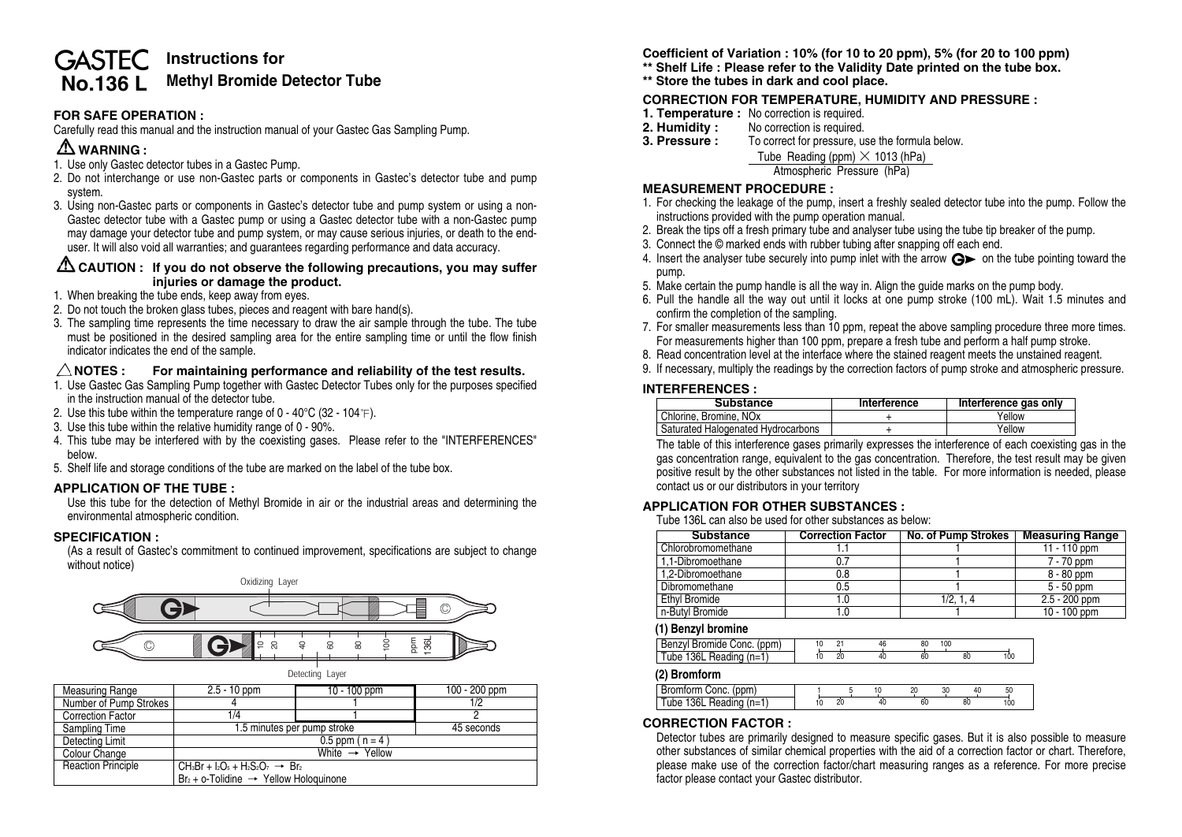# **Instructions for GASTEC No.136 L Methyl Bromide Detector Tube**

# **FOR SAFE OPERATION :**

Carefully read this manual and the instruction manual of your Gastec Gas Sampling Pump.

# **WARNING :**

- 1. Use only Gastec detector tubes in a Gastec Pump.
- 2. Do not interchange or use non-Gastec parts or components in Gastec's detector tube and pump system.
- 3. Using non-Gastec parts or components in Gastec's detector tube and pump system or using a non-Gastec detector tube with a Gastec pump or using a Gastec detector tube with a non-Gastec pump may damage your detector tube and pump system, or may cause serious injuries, or death to the enduser. It will also void all warranties; and guarantees regarding performance and data accuracy.

### **CAUTION :** If you do not observe the following precautions, you may suffer **injuries or damage the product.**

- 1. When breaking the tube ends, keep away from eyes.
- 2. Do not touch the broken glass tubes, pieces and reagent with bare hand(s).
- 3. The sampling time represents the time necessary to draw the air sample through the tube. The tube must be positioned in the desired sampling area for the entire sampling time or until the flow finish indicator indicates the end of the sample.

## $\triangle$ NOTES : For maintaining performance and reliability of the test results.

- 1. Use Gastec Gas Sampling Pump together with Gastec Detector Tubes only for the purposes specified in the instruction manual of the detector tube.
- 2. Use this tube within the temperature range of  $0 40^{\circ}C$  (32 104 °F).
- 3. Use this tube within the relative humidity range of 0 90%.
- 4. This tube may be interfered with by the coexisting gases. Please refer to the "INTERFERENCES" below.
- 5. Shelf life and storage conditions of the tube are marked on the label of the tube box.

## **APPLICATION OF THE TUBE :**

Use this tube for the detection of Methyl Bromide in air or the industrial areas and determining the environmental atmospheric condition.

### **SPECIFICATION :**

(As a result of Gastec's commitment to continued improvement, specifications are subject to change without notice)



| Measuring Range           | $2.5 - 10$ ppm<br>$10 - 100$ ppm                                                                           |            | 100 - 200 ppm |  |
|---------------------------|------------------------------------------------------------------------------------------------------------|------------|---------------|--|
| Number of Pump Strokes    |                                                                                                            |            | 1/2           |  |
| <b>Correction Factor</b>  | 1/4                                                                                                        |            |               |  |
| Sampling Time             | 1.5 minutes per pump stroke                                                                                | 45 seconds |               |  |
| Detecting Limit           |                                                                                                            |            |               |  |
| Colour Change             | White $\rightarrow$ Yellow                                                                                 |            |               |  |
| <b>Reaction Principle</b> | CH <sub>3</sub> Br + $I_2O_5$ + H <sub>2</sub> S <sub>2</sub> O <sub>7</sub> $\rightarrow$ Br <sub>2</sub> |            |               |  |
|                           | $Br2 + o$ -Tolidine $\rightarrow$ Yellow Hologuinone                                                       |            |               |  |

**Coefficient of Variation : 10% (for 10 to 20 ppm), 5% (for 20 to 100 ppm) \*\* Shelf Life : Please refer to the Validity Date printed on the tube box.**

**\*\* Store the tubes in dark and cool place.**

# **CORRECTION FOR TEMPERATURE, HUMIDITY AND PRESSURE :**

- 
- **1. Temperature :** No correction is required.<br>**2. Humidity :** No correction is required.
- **2. Humidity :** No correction is required.<br>**3. Pressure :** To correct for pressure, us
	- **3. Pressure :** To correct for pressure, use the formula below.

Tube Reading (ppm) **×** 1013 (hPa)

Atmospheric Pressure (hPa)

## **MEASUREMENT PROCEDURE :**

- 1. For checking the leakage of the pump, insert a freshly sealed detector tube into the pump. Follow the instructions provided with the pump operation manual.
- 2. Break the tips off a fresh primary tube and analyser tube using the tube tip breaker of the pump.
- 3. Connect the © marked ends with rubber tubing after snapping off each end.
- 4. Insert the analyser tube securely into pump inlet with the arrow  $\mathbf{G}$  on the tube pointing toward the pump.
- 5. Make certain the pump handle is all the way in. Align the guide marks on the pump body.
- 6. Pull the handle all the way out until it locks at one pump stroke (100 mL). Wait 1.5 minutes and confirm the completion of the sampling.
- 7. For smaller measurements less than 10 ppm, repeat the above sampling procedure three more times. For measurements higher than 100 ppm, prepare a fresh tube and perform a half pump stroke.
- 8. Read concentration level at the interface where the stained reagent meets the unstained reagent.
- 9. If necessary, multiply the readings by the correction factors of pump stroke and atmospheric pressure.

#### **INTERFERENCES :**

| Substance                          | Interference | Interference gas only |
|------------------------------------|--------------|-----------------------|
| Chlorine, Bromine, NO <sub>x</sub> |              | Yellow                |
| Saturated Halogenated Hydrocarbons |              | Yellow                |

The table of this interference gases primarily expresses the interference of each coexisting gas in the gas concentration range, equivalent to the gas concentration. Therefore, the test result may be given positive result by the other substances not listed in the table. For more information is needed, please contact us or our distributors in your territory

### **APPLICATION FOR OTHER SUBSTANCES :**

Tube 136L can also be used for other substances as below:

| <b>Substance</b>   | <b>Correction Factor</b> | No. of Pump Strokes | <b>Measuring Range</b> |
|--------------------|--------------------------|---------------------|------------------------|
| Chlorobromomethane |                          |                     | $11 - 110$ ppm         |
| 1.1-Dibromoethane  |                          |                     | 7 - 70 ppm             |
| 1.2-Dibromoethane  | 0.8                      |                     | 8 - 80 ppm             |
| Dibromomethane     | 0.5                      |                     | $5 - 50$ ppm           |
| Ethyl Bromide      |                          | 1/2.1.4             | $2.5 - 200$ ppm        |
| n-Butvl Bromide    |                          |                     | 10 - 100 ppm           |

#### **(1) Benzyl bromine**

| Benzyl Bromide Conc. (ppm)    |  |  |  | öU |  |  |
|-------------------------------|--|--|--|----|--|--|
| $ $ Tube 136L Reading $(n=1)$ |  |  |  |    |  |  |

**(2) Bromform**

| Conc. (ppm)<br><b>Bromt</b>         |    |    | w |    | ы |  |
|-------------------------------------|----|----|---|----|---|--|
| Tube<br>'n=1<br>. 36L 1<br>Heading, | 20 | υU |   | 80 |   |  |
|                                     |    |    |   |    |   |  |

### **CORRECTION FACTOR :**

Detector tubes are primarily designed to measure specific gases. But it is also possible to measure other substances of similar chemical properties with the aid of a correction factor or chart. Therefore, please make use of the correction factor/chart measuring ranges as a reference. For more precise factor please contact your Gastec distributor.